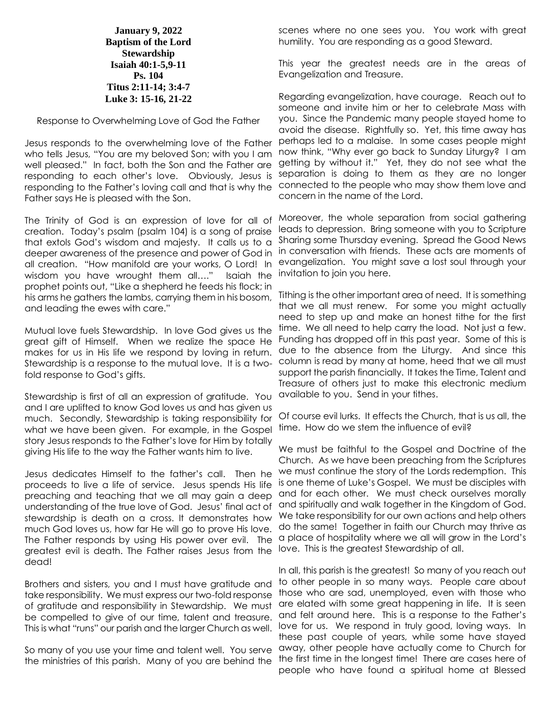**January 9, 2022 Baptism of the Lord Stewardship Isaiah 40:1-5,9-11 Ps. 104 Titus 2:11-14; 3:4-7 Luke 3: 15-16, 21-22**

Response to Overwhelming Love of God the Father

Jesus responds to the overwhelming love of the Father who tells Jesus, "You are my beloved Son; with you I am well pleased." In fact, both the Son and the Father are responding to each other's love. Obviously, Jesus is responding to the Father's loving call and that is why the connected to the people who may show them love and Father says He is pleased with the Son.

The Trinity of God is an expression of love for all of creation. Today's psalm (psalm 104) is a song of praise that extols God's wisdom and majesty. It calls us to a deeper awareness of the presence and power of God in all creation. "How manifold are your works, O Lord! In wisdom you have wrought them all…." Isaiah the prophet points out, "Like a shepherd he feeds his flock; in his arms he gathers the lambs, carrying them in his bosom, and leading the ewes with care."

Mutual love fuels Stewardship. In love God gives us the great gift of Himself. When we realize the space He makes for us in His life we respond by loving in return. Stewardship is a response to the mutual love. It is a two- column is read by many at home, heed that we all must fold response to God's gifts.

Stewardship is first of all an expression of gratitude. You and I are uplifted to know God loves us and has given us much. Secondly, Stewardship is taking responsibility for what we have been given. For example, in the Gospel story Jesus responds to the Father's love for Him by totally giving His life to the way the Father wants him to live.

Jesus dedicates Himself to the father's call. Then he proceeds to live a life of service. Jesus spends His life preaching and teaching that we all may gain a deep understanding of the true love of God. Jesus' final act of stewardship is death on a cross. It demonstrates how much God loves us, how far He will go to prove His love. The Father responds by using His power over evil. The greatest evil is death. The Father raises Jesus from the dead!

Brothers and sisters, you and I must have gratitude and take responsibility. We must express our two-fold response of gratitude and responsibility in Stewardship. We must be compelled to give of our time, talent and treasure. This is what "runs" our parish and the larger Church as well.

the ministries of this parish. Many of you are behind the

scenes where no one sees you. You work with great humility. You are responding as a good Steward.

This year the greatest needs are in the areas of Evangelization and Treasure.

Regarding evangelization, have courage. Reach out to someone and invite him or her to celebrate Mass with you. Since the Pandemic many people stayed home to avoid the disease. Rightfully so. Yet, this time away has perhaps led to a malaise. In some cases people might now think, "Why ever go back to Sunday Liturgy? I am getting by without it." Yet, they do not see what the separation is doing to them as they are no longer concern in the name of the Lord.

Moreover, the whole separation from social gathering leads to depression. Bring someone with you to Scripture Sharing some Thursday evening. Spread the Good News in conversation with friends. These acts are moments of evangelization. You might save a lost soul through your invitation to join you here.

Tithing is the other important area of need. It is something that we all must renew. For some you might actually need to step up and make an honest tithe for the first time. We all need to help carry the load. Not just a few. Funding has dropped off in this past year. Some of this is due to the absence from the Liturgy. And since this support the parish financially. It takes the Time, Talent and Treasure of others just to make this electronic medium available to you. Send in your tithes.

Of course evil lurks. It effects the Church, that is us all, the time. How do we stem the influence of evil?

We must be faithful to the Gospel and Doctrine of the Church. As we have been preaching from the Scriptures we must continue the story of the Lords redemption. This is one theme of Luke's Gospel. We must be disciples with and for each other. We must check ourselves morally and spiritually and walk together in the Kingdom of God. We take responsibility for our own actions and help others do the same! Together in faith our Church may thrive as a place of hospitality where we all will grow in the Lord's love. This is the greatest Stewardship of all.

So many of you use your time and talent well. You serve away, other people have actually come to Church for In all, this parish is the greatest! So many of you reach out to other people in so many ways. People care about those who are sad, unemployed, even with those who are elated with some great happening in life. It is seen and felt around here. This is a response to the Father's love for us. We respond in truly good, loving ways. In these past couple of years, while some have stayed the first time in the longest time! There are cases here of people who have found a spiritual home at Blessed